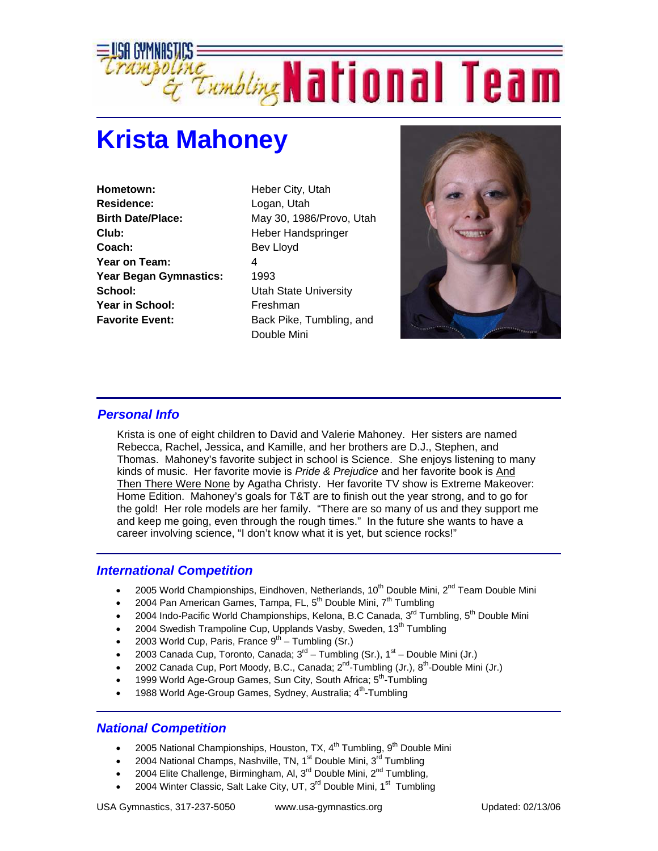

## **Krista Mahoney**

**Hometown:** Heber City, Utah **Residence:** Logan, Utah **Club:** Heber Handspringer Coach: Bev Lloyd **Year on Team:** 4 Year Began Gymnastics: 1993 **School:** Utah State University **Year in School:** Freshman

**Birth Date/Place:** May 30, 1986/Provo, Utah **Favorite Event:** Back Pike, Tumbling, and Double Mini



## *Personal Info*

Krista is one of eight children to David and Valerie Mahoney. Her sisters are named Rebecca, Rachel, Jessica, and Kamille, and her brothers are D.J., Stephen, and Thomas. Mahoney's favorite subject in school is Science. She enjoys listening to many kinds of music. Her favorite movie is *Pride & Prejudice* and her favorite book is And Then There Were None by Agatha Christy. Her favorite TV show is Extreme Makeover: Home Edition. Mahoney's goals for T&T are to finish out the year strong, and to go for the gold! Her role models are her family. "There are so many of us and they support me and keep me going, even through the rough times." In the future she wants to have a career involving science, "I don't know what it is yet, but science rocks!"

## *International Co***m***petition*

- 2005 World Championships, Eindhoven, Netherlands,  $10^{th}$  Double Mini,  $2^{nd}$  Team Double Mini
- 2004 Pan American Games, Tampa, FL, 5<sup>th</sup> Double Mini, 7<sup>th</sup> Tumbling
- 2004 Indo-Pacific World Championships, Kelona, B.C Canada, 3<sup>rd</sup> Tumbling, 5<sup>th</sup> Double Mini
- 2004 Swedish Trampoline Cup, Upplands Vasby, Sweden, 13<sup>th</sup> Tumbling
- 2003 World Cup, Paris, France  $9<sup>th</sup>$  Tumbling (Sr.)
- 2003 Canada Cup, Toronto, Canada;  $3^{rd}$  Tumbling (Sr.),  $1^{st}$  Double Mini (Jr.)
- 2002 Canada Cup, Port Moody, B.C., Canada;  $2^{nd}$ -Tumbling (Jr.),  $8^{th}$ -Double Mini (Jr.)
- 1999 World Age-Group Games, Sun City, South Africa; 5<sup>th</sup>-Tumbling
- 1988 World Age-Group Games, Sydney, Australia; 4<sup>th</sup>-Tumbling

## *National Competition*

- 2005 National Championships, Houston, TX,  $4^{th}$  Tumbling,  $9^{th}$  Double Mini
- 2004 National Champs, Nashville, TN, 1<sup>st</sup> Double Mini, 3<sup>rd</sup> Tumbling
- 2004 Elite Challenge, Birmingham, Al,  $3^{rd}$  Double Mini,  $2^{nd}$  Tumbling,
- 2004 Winter Classic, Salt Lake City, UT, 3<sup>rd</sup> Double Mini, 1<sup>st</sup> Tumbling